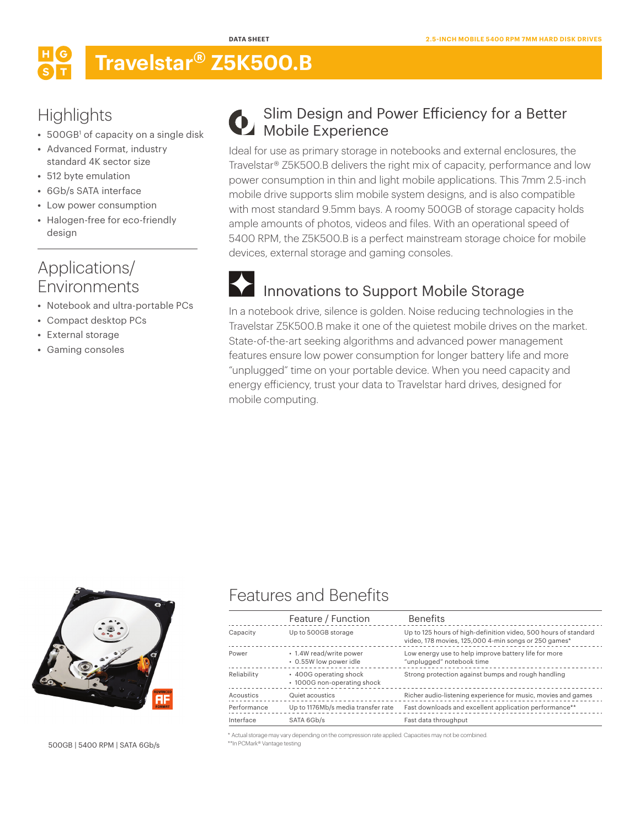## **Travelstar® Z5K500.B**

## **Highlights**

- 500GB<sup>1</sup> of capacity on a single disk
- **•** Advanced Format, industry standard 4K sector size
- **•** 512 byte emulation
- **•** 6Gb/s SATA interface
- **•** Low power consumption
- **•** Halogen-free for eco-friendly design

#### Applications/ Environments

- **•** Notebook and ultra-portable PCs
- **•** Compact desktop PCs
- **•** External storage
- **•** Gaming consoles

#### Slim Design and Power Efficiency for a Better **Mobile Experience**

Ideal for use as primary storage in notebooks and external enclosures, the Travelstar® Z5K500.B delivers the right mix of capacity, performance and low power consumption in thin and light mobile applications. This 7mm 2.5-inch mobile drive supports slim mobile system designs, and is also compatible with most standard 9.5mm bays. A roomy 500GB of storage capacity holds ample amounts of photos, videos and files. With an operational speed of 5400 RPM, the Z5K500.B is a perfect mainstream storage choice for mobile devices, external storage and gaming consoles.

## Innovations to Support Mobile Storage

In a notebook drive, silence is golden. Noise reducing technologies in the Travelstar Z5K500.B make it one of the quietest mobile drives on the market. State-of-the-art seeking algorithms and advanced power management features ensure low power consumption for longer battery life and more "unplugged" time on your portable device. When you need capacity and energy efficiency, trust your data to Travelstar hard drives, designed for mobile computing.



500GB | 5400 RPM | SATA 6Gb/s

#### Features and Benefits

|             | Feature / Function                                    | <b>Benefits</b>                                                                                                         |
|-------------|-------------------------------------------------------|-------------------------------------------------------------------------------------------------------------------------|
| Capacity    | Up to 500GB storage                                   | Up to 125 hours of high-definition video, 500 hours of standard<br>video, 178 movies, 125,000 4-min songs or 250 games* |
| Power       | • 1.4W read/write power<br>• 0.55W low power idle     | Low energy use to help improve battery life for more<br>"unplugged" notebook time                                       |
| Reliability | • 400G operating shock<br>• 1000G non-operating shock | Strong protection against bumps and rough handling                                                                      |
| Acoustics   | Quiet acoustics                                       | Richer audio-listening experience for music, movies and games                                                           |
| Performance | Up to 1176Mb/s media transfer rate                    | Fast downloads and excellent application performance**                                                                  |
| Interface   | SATA 6Gb/s                                            | Fast data throughput                                                                                                    |

\* Actual storage may vary depending on the compression rate applied. Capacities may not be combined. \*\*In PCMark® Vantage testing